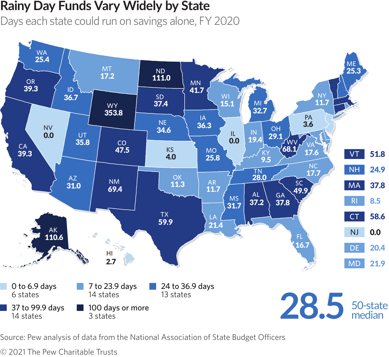## **Rainy Day Funds Vary Widely by State**

Days each state could run on savings alone, FY 2020



Source: Pew analysis of data from the National Association of State Budget Officers

© 2021 The Pew Charitable Trusts